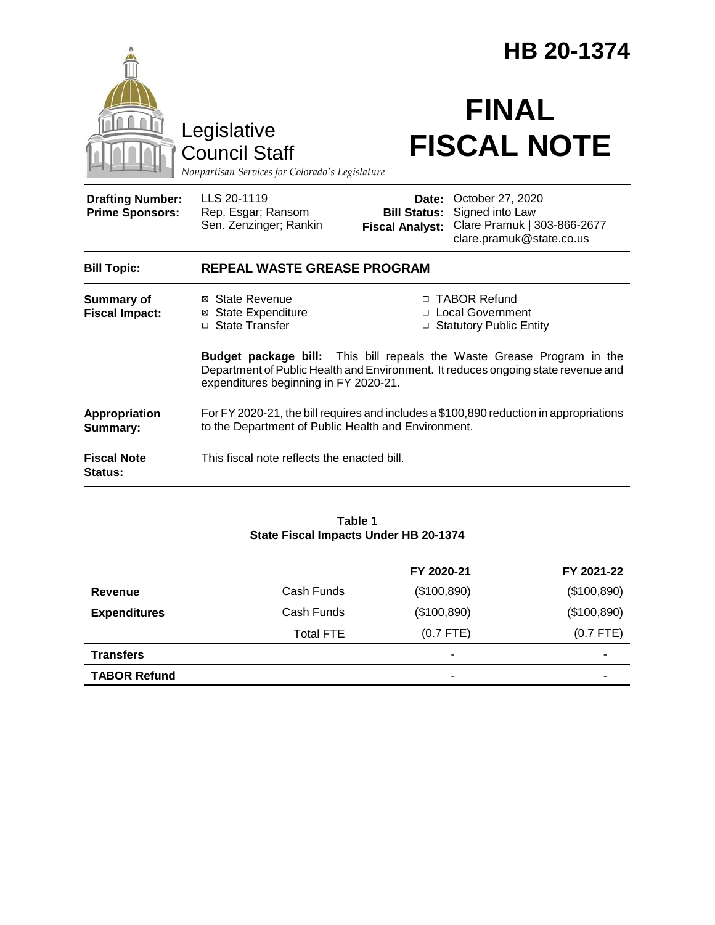|                                                                                        |                                                                                                                                                                                                             | HB 20-1374                                                        |                                                                                                |  |
|----------------------------------------------------------------------------------------|-------------------------------------------------------------------------------------------------------------------------------------------------------------------------------------------------------------|-------------------------------------------------------------------|------------------------------------------------------------------------------------------------|--|
| Legislative<br><b>Council Staff</b><br>Nonpartisan Services for Colorado's Legislature |                                                                                                                                                                                                             | <b>FINAL</b><br><b>FISCAL NOTE</b>                                |                                                                                                |  |
| <b>Drafting Number:</b><br><b>Prime Sponsors:</b>                                      | LLS 20-1119<br>Rep. Esgar; Ransom<br>Sen. Zenzinger; Rankin                                                                                                                                                 | Date:<br><b>Bill Status:</b><br><b>Fiscal Analyst:</b>            | October 27, 2020<br>Signed into Law<br>Clare Pramuk   303-866-2677<br>clare.pramuk@state.co.us |  |
| <b>Bill Topic:</b>                                                                     | <b>REPEAL WASTE GREASE PROGRAM</b>                                                                                                                                                                          |                                                                   |                                                                                                |  |
| <b>Summary of</b><br><b>Fiscal Impact:</b>                                             | ⊠ State Revenue<br><b>State Expenditure</b><br>□ State Transfer                                                                                                                                             | □ TABOR Refund<br>□ Local Government<br>□ Statutory Public Entity |                                                                                                |  |
|                                                                                        | <b>Budget package bill:</b> This bill repeals the Waste Grease Program in the<br>Department of Public Health and Environment. It reduces ongoing state revenue and<br>expenditures beginning in FY 2020-21. |                                                                   |                                                                                                |  |
| Appropriation<br>Summary:                                                              | For FY 2020-21, the bill requires and includes a \$100,890 reduction in appropriations<br>to the Department of Public Health and Environment.                                                               |                                                                   |                                                                                                |  |
| <b>Fiscal Note</b><br>Status:                                                          | This fiscal note reflects the enacted bill.                                                                                                                                                                 |                                                                   |                                                                                                |  |

#### **Table 1 State Fiscal Impacts Under HB 20-1374**

|                     |                  | FY 2020-21  | FY 2021-22  |
|---------------------|------------------|-------------|-------------|
| Revenue             | Cash Funds       | (\$100,890) | (\$100,890) |
| <b>Expenditures</b> | Cash Funds       | (\$100,890) | (\$100,890) |
|                     | <b>Total FTE</b> | $(0.7$ FTE) | $(0.7$ FTE) |
| <b>Transfers</b>    |                  | ٠           | -           |
| <b>TABOR Refund</b> |                  | ۰           | -           |